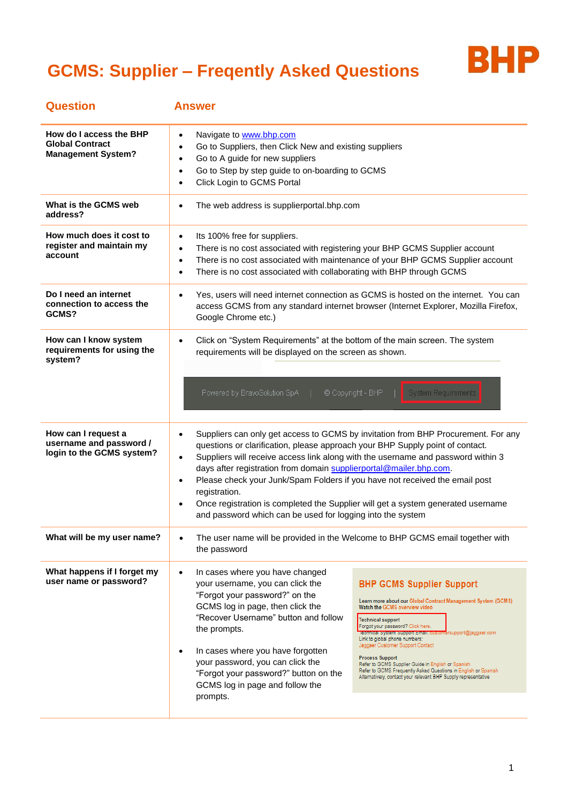

| <b>Question</b>                                                                | <b>Answer</b>                                                                                                                                                                                                                                                                                                                                                                                                                                                                                                                                                                                                                                                                                                                                                                                                                                                                                                                           |
|--------------------------------------------------------------------------------|-----------------------------------------------------------------------------------------------------------------------------------------------------------------------------------------------------------------------------------------------------------------------------------------------------------------------------------------------------------------------------------------------------------------------------------------------------------------------------------------------------------------------------------------------------------------------------------------------------------------------------------------------------------------------------------------------------------------------------------------------------------------------------------------------------------------------------------------------------------------------------------------------------------------------------------------|
| How do I access the BHP<br><b>Global Contract</b><br><b>Management System?</b> | Navigate to www.bhp.com<br>$\bullet$<br>Go to Suppliers, then Click New and existing suppliers<br>$\bullet$<br>Go to A guide for new suppliers<br>$\bullet$<br>Go to Step by step guide to on-boarding to GCMS<br>$\bullet$<br>Click Login to GCMS Portal<br>$\bullet$                                                                                                                                                                                                                                                                                                                                                                                                                                                                                                                                                                                                                                                                  |
| What is the GCMS web<br>address?                                               | The web address is supplierportal.bhp.com<br>$\bullet$                                                                                                                                                                                                                                                                                                                                                                                                                                                                                                                                                                                                                                                                                                                                                                                                                                                                                  |
| How much does it cost to<br>register and maintain my<br>account                | Its 100% free for suppliers.<br>$\bullet$<br>There is no cost associated with registering your BHP GCMS Supplier account<br>$\bullet$<br>There is no cost associated with maintenance of your BHP GCMS Supplier account<br>$\bullet$<br>There is no cost associated with collaborating with BHP through GCMS<br>$\bullet$                                                                                                                                                                                                                                                                                                                                                                                                                                                                                                                                                                                                               |
| Do I need an internet<br>connection to access the<br>GCMS?                     | Yes, users will need internet connection as GCMS is hosted on the internet. You can<br>$\bullet$<br>access GCMS from any standard internet browser (Internet Explorer, Mozilla Firefox,<br>Google Chrome etc.)                                                                                                                                                                                                                                                                                                                                                                                                                                                                                                                                                                                                                                                                                                                          |
| How can I know system<br>requirements for using the<br>system?                 | Click on "System Requirements" at the bottom of the main screen. The system<br>$\bullet$<br>requirements will be displayed on the screen as shown.<br>© Copyright - BHP<br>Powered by BravoSolution SpA  <br>System Requirements                                                                                                                                                                                                                                                                                                                                                                                                                                                                                                                                                                                                                                                                                                        |
| How can I request a<br>username and password /<br>login to the GCMS system?    | Suppliers can only get access to GCMS by invitation from BHP Procurement. For any<br>$\bullet$<br>questions or clarification, please approach your BHP Supply point of contact.<br>Suppliers will receive access link along with the username and password within 3<br>$\bullet$<br>days after registration from domain supplierportal@mailer.bhp.com.<br>Please check your Junk/Spam Folders if you have not received the email post<br>$\bullet$<br>registration.<br>Once registration is completed the Supplier will get a system generated username<br>$\bullet$<br>and password which can be used for logging into the system                                                                                                                                                                                                                                                                                                      |
| What will be my user name?                                                     | The user name will be provided in the Welcome to BHP GCMS email together with<br>the password                                                                                                                                                                                                                                                                                                                                                                                                                                                                                                                                                                                                                                                                                                                                                                                                                                           |
| What happens if I forget my<br>user name or password?                          | In cases where you have changed<br>$\bullet$<br>your username, you can click the<br><b>BHP GCMS Supplier Support</b><br>"Forgot your password?" on the<br>Learn more about our Global Contract Management System (GCMS)<br>GCMS log in page, then click the<br>Watch the GCMS overview video<br>"Recover Username" button and follow<br>Technical support<br>Forgot your password? Click here.<br>the prompts.<br>Technical System Support Email: customersupport@jaggaer.com<br>Link to global phone numbers:<br>Jaggaer Customer Support Contact<br>In cases where you have forgotten<br><b>Process Support</b><br>your password, you can click the<br>Refer to GCMS Supplier Guide in English or Spanish<br>Refer to GCMS Frequently Asked Questions in English or Spanish<br>"Forgot your password?" button on the<br>Alternatively, contact your relevant BHP Supply representative<br>GCMS log in page and follow the<br>prompts. |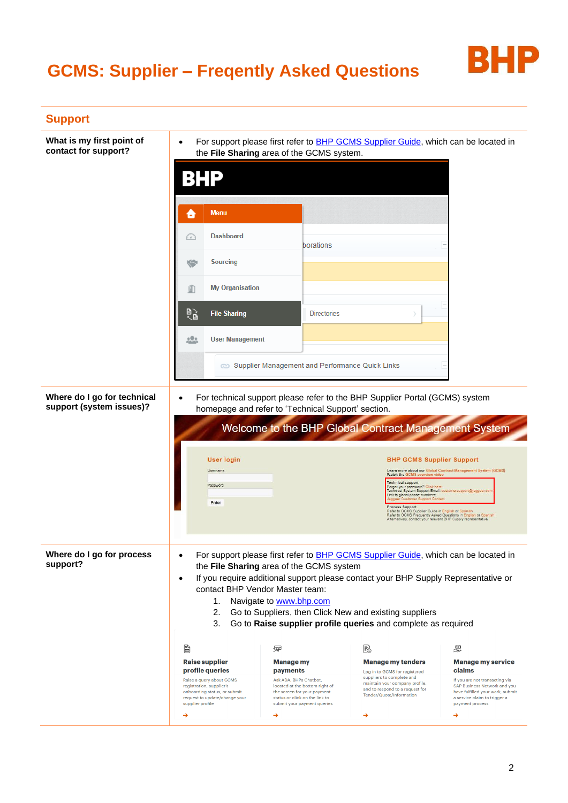

| What is my first point of<br>contact for support?       | $\bullet$                                                                                                                        | the File Sharing area of the GCMS system.                                                                               | For support please first refer to <b>BHP GCMS Supplier Guide</b> , which can be located in                                                                  |                                                                                                                                          |
|---------------------------------------------------------|----------------------------------------------------------------------------------------------------------------------------------|-------------------------------------------------------------------------------------------------------------------------|-------------------------------------------------------------------------------------------------------------------------------------------------------------|------------------------------------------------------------------------------------------------------------------------------------------|
|                                                         | BHP                                                                                                                              |                                                                                                                         |                                                                                                                                                             |                                                                                                                                          |
|                                                         | <b>Menu</b><br>о                                                                                                                 |                                                                                                                         |                                                                                                                                                             |                                                                                                                                          |
|                                                         | <b>Dashboard</b><br>f e l                                                                                                        | borations                                                                                                               |                                                                                                                                                             |                                                                                                                                          |
|                                                         | <b>Sourcing</b><br>್                                                                                                             |                                                                                                                         |                                                                                                                                                             |                                                                                                                                          |
|                                                         | <b>My Organisation</b><br>即                                                                                                      |                                                                                                                         |                                                                                                                                                             |                                                                                                                                          |
|                                                         | é,<br><b>File Sharing</b>                                                                                                        | <b>Directories</b>                                                                                                      |                                                                                                                                                             |                                                                                                                                          |
|                                                         | <u>000</u><br><b>User Management</b>                                                                                             |                                                                                                                         |                                                                                                                                                             |                                                                                                                                          |
|                                                         |                                                                                                                                  | <b>Co</b> Supplier Management and Performance Quick Links                                                               |                                                                                                                                                             |                                                                                                                                          |
| Where do I go for technical<br>support (system issues)? | $\bullet$                                                                                                                        | homepage and refer to 'Technical Support' section.                                                                      | For technical support please refer to the BHP Supplier Portal (GCMS) system                                                                                 |                                                                                                                                          |
|                                                         |                                                                                                                                  |                                                                                                                         | Welcome to the BHP Global Contract Management System                                                                                                        |                                                                                                                                          |
|                                                         | <b>User login</b>                                                                                                                |                                                                                                                         | <b>BHP GCMS Supplier Support</b>                                                                                                                            |                                                                                                                                          |
|                                                         | Username<br>Password                                                                                                             |                                                                                                                         | Watch the GCMS overview video<br><b>Technical support</b><br>Forgot your password? Click here.                                                              | Learn more about our Global Contract Management System (GCMS)                                                                            |
|                                                         |                                                                                                                                  |                                                                                                                         | Technical System Support Email: customersupport@jaggaer.com                                                                                                 |                                                                                                                                          |
|                                                         | Enter                                                                                                                            |                                                                                                                         | Link to global phone numbers:<br>Process Support                                                                                                            |                                                                                                                                          |
|                                                         |                                                                                                                                  |                                                                                                                         | Alternatively, contact your relevant BHP Supply representative                                                                                              | Refer to GCMS Supplier Guide in English or Spanish<br>Refer to GCMS Frequently Asked Questions in English or Spanish                     |
|                                                         | $\bullet$                                                                                                                        |                                                                                                                         | For support please first refer to <b>BHP GCMS Supplier Guide</b> , which can be located in                                                                  |                                                                                                                                          |
| Where do I go for process<br>support?                   | $\bullet$                                                                                                                        | the File Sharing area of the GCMS system                                                                                | If you require additional support please contact your BHP Supply Representative or                                                                          |                                                                                                                                          |
|                                                         | 1.                                                                                                                               | contact BHP Vendor Master team:<br>Navigate to www.bhp.com                                                              |                                                                                                                                                             |                                                                                                                                          |
|                                                         | 2.<br>3.                                                                                                                         | Go to Suppliers, then Click New and existing suppliers                                                                  | Go to Raise supplier profile queries and complete as required                                                                                               |                                                                                                                                          |
|                                                         | 6                                                                                                                                | 曏                                                                                                                       | Fo                                                                                                                                                          | $\sqrt{2}$                                                                                                                               |
|                                                         | <b>Raise supplier</b><br>profile queries<br>Raise a query about GCMS<br>registration, supplier's<br>onboarding status, or submit | <b>Manage my</b><br>payments<br>Ask ADA, BHPs Chatbot,<br>located at the bottom right of<br>the screen for your payment | <b>Manage my tenders</b><br>Log in to GCMS for registered<br>suppliers to complete and<br>maintain your company profile,<br>and to respond to a request for | <b>Manage my service</b><br>claims<br>If you are not transacting via<br>SAP Business Network and you<br>have fulfilled your work, submit |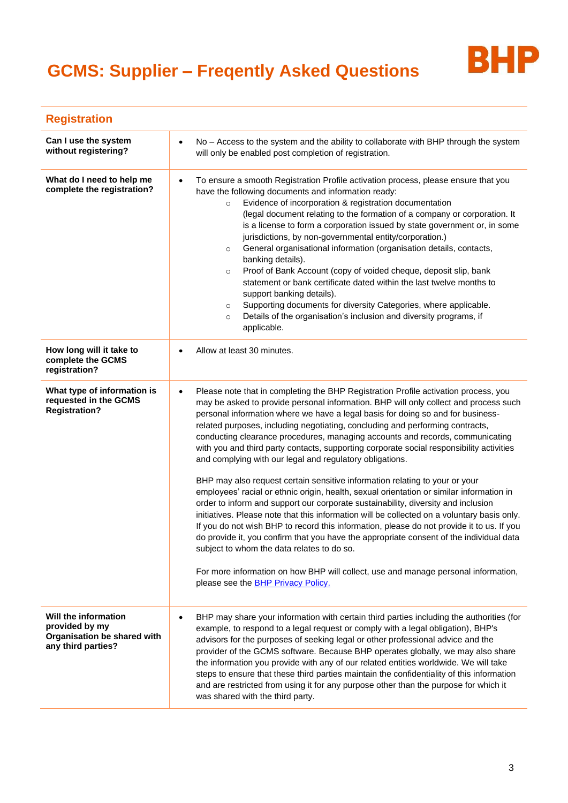

| <b>Registration</b>                                                                         |                                                                                                                                                                                                                                                                                                                                                                                                                                                                                                                                                                                                                                                                                                                                                                                                                                                                                                                                                                                                                                                                                                                                                                                                                                                                                                                                               |
|---------------------------------------------------------------------------------------------|-----------------------------------------------------------------------------------------------------------------------------------------------------------------------------------------------------------------------------------------------------------------------------------------------------------------------------------------------------------------------------------------------------------------------------------------------------------------------------------------------------------------------------------------------------------------------------------------------------------------------------------------------------------------------------------------------------------------------------------------------------------------------------------------------------------------------------------------------------------------------------------------------------------------------------------------------------------------------------------------------------------------------------------------------------------------------------------------------------------------------------------------------------------------------------------------------------------------------------------------------------------------------------------------------------------------------------------------------|
| Can I use the system<br>without registering?                                                | No - Access to the system and the ability to collaborate with BHP through the system<br>$\bullet$<br>will only be enabled post completion of registration.                                                                                                                                                                                                                                                                                                                                                                                                                                                                                                                                                                                                                                                                                                                                                                                                                                                                                                                                                                                                                                                                                                                                                                                    |
| What do I need to help me<br>complete the registration?                                     | To ensure a smooth Registration Profile activation process, please ensure that you<br>$\bullet$<br>have the following documents and information ready:<br>Evidence of incorporation & registration documentation<br>$\circ$<br>(legal document relating to the formation of a company or corporation. It<br>is a license to form a corporation issued by state government or, in some<br>jurisdictions, by non-governmental entity/corporation.)<br>General organisational information (organisation details, contacts,<br>$\circ$<br>banking details).<br>Proof of Bank Account (copy of voided cheque, deposit slip, bank<br>$\circ$<br>statement or bank certificate dated within the last twelve months to<br>support banking details).<br>Supporting documents for diversity Categories, where applicable.<br>$\circ$<br>Details of the organisation's inclusion and diversity programs, if<br>$\circ$<br>applicable.                                                                                                                                                                                                                                                                                                                                                                                                                    |
| How long will it take to<br>complete the GCMS<br>registration?                              | Allow at least 30 minutes.                                                                                                                                                                                                                                                                                                                                                                                                                                                                                                                                                                                                                                                                                                                                                                                                                                                                                                                                                                                                                                                                                                                                                                                                                                                                                                                    |
| What type of information is<br>requested in the GCMS<br><b>Registration?</b>                | Please note that in completing the BHP Registration Profile activation process, you<br>$\bullet$<br>may be asked to provide personal information. BHP will only collect and process such<br>personal information where we have a legal basis for doing so and for business-<br>related purposes, including negotiating, concluding and performing contracts,<br>conducting clearance procedures, managing accounts and records, communicating<br>with you and third party contacts, supporting corporate social responsibility activities<br>and complying with our legal and regulatory obligations.<br>BHP may also request certain sensitive information relating to your or your<br>employees' racial or ethnic origin, health, sexual orientation or similar information in<br>order to inform and support our corporate sustainability, diversity and inclusion<br>initiatives. Please note that this information will be collected on a voluntary basis only.<br>If you do not wish BHP to record this information, please do not provide it to us. If you<br>do provide it, you confirm that you have the appropriate consent of the individual data<br>subject to whom the data relates to do so.<br>For more information on how BHP will collect, use and manage personal information,<br>please see the <b>BHP Privacy Policy.</b> |
| Will the information<br>provided by my<br>Organisation be shared with<br>any third parties? | BHP may share your information with certain third parties including the authorities (for<br>$\bullet$<br>example, to respond to a legal request or comply with a legal obligation), BHP's<br>advisors for the purposes of seeking legal or other professional advice and the<br>provider of the GCMS software. Because BHP operates globally, we may also share<br>the information you provide with any of our related entities worldwide. We will take<br>steps to ensure that these third parties maintain the confidentiality of this information<br>and are restricted from using it for any purpose other than the purpose for which it<br>was shared with the third party.                                                                                                                                                                                                                                                                                                                                                                                                                                                                                                                                                                                                                                                              |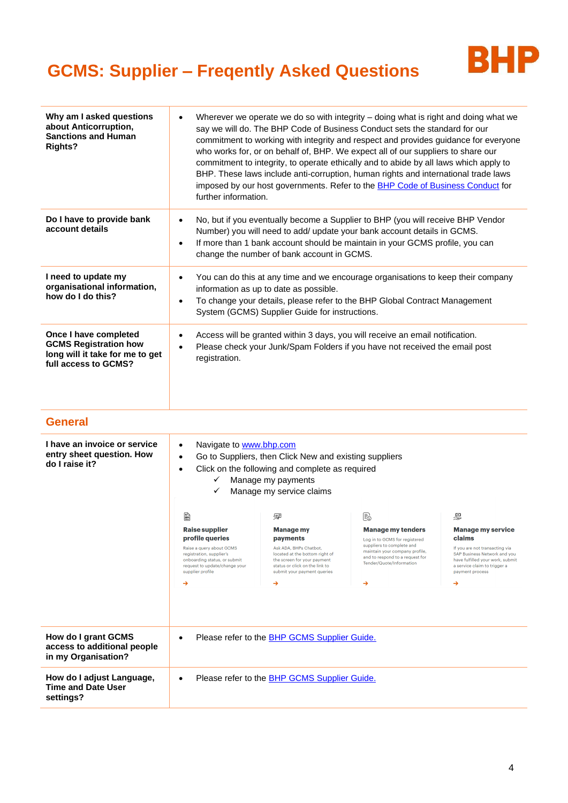

| Why am I asked questions<br>about Anticorruption,<br><b>Sanctions and Human</b><br><b>Rights?</b>                | further information.                                                                                                                                                                                                                                                                                               |                                                                                                                                                                                                                                                                                                                                                                   | Wherever we operate we do so with integrity - doing what is right and doing what we<br>say we will do. The BHP Code of Business Conduct sets the standard for our<br>commitment to working with integrity and respect and provides guidance for everyone<br>who works for, or on behalf of, BHP. We expect all of our suppliers to share our<br>commitment to integrity, to operate ethically and to abide by all laws which apply to<br>BHP. These laws include anti-corruption, human rights and international trade laws<br>imposed by our host governments. Refer to the <b>BHP Code of Business Conduct for</b> |                                                                                                                                                                                                              |
|------------------------------------------------------------------------------------------------------------------|--------------------------------------------------------------------------------------------------------------------------------------------------------------------------------------------------------------------------------------------------------------------------------------------------------------------|-------------------------------------------------------------------------------------------------------------------------------------------------------------------------------------------------------------------------------------------------------------------------------------------------------------------------------------------------------------------|----------------------------------------------------------------------------------------------------------------------------------------------------------------------------------------------------------------------------------------------------------------------------------------------------------------------------------------------------------------------------------------------------------------------------------------------------------------------------------------------------------------------------------------------------------------------------------------------------------------------|--------------------------------------------------------------------------------------------------------------------------------------------------------------------------------------------------------------|
| Do I have to provide bank<br>account details                                                                     | No, but if you eventually become a Supplier to BHP (you will receive BHP Vendor<br>$\bullet$<br>Number) you will need to add/ update your bank account details in GCMS.<br>If more than 1 bank account should be maintain in your GCMS profile, you can<br>$\bullet$<br>change the number of bank account in GCMS. |                                                                                                                                                                                                                                                                                                                                                                   |                                                                                                                                                                                                                                                                                                                                                                                                                                                                                                                                                                                                                      |                                                                                                                                                                                                              |
| I need to update my<br>organisational information,<br>how do I do this?                                          | $\bullet$<br>$\bullet$                                                                                                                                                                                                                                                                                             | information as up to date as possible.<br>System (GCMS) Supplier Guide for instructions.                                                                                                                                                                                                                                                                          | You can do this at any time and we encourage organisations to keep their company<br>To change your details, please refer to the BHP Global Contract Management                                                                                                                                                                                                                                                                                                                                                                                                                                                       |                                                                                                                                                                                                              |
| Once I have completed<br><b>GCMS Registration how</b><br>long will it take for me to get<br>full access to GCMS? | $\bullet$<br>$\bullet$<br>registration.                                                                                                                                                                                                                                                                            |                                                                                                                                                                                                                                                                                                                                                                   | Access will be granted within 3 days, you will receive an email notification.<br>Please check your Junk/Spam Folders if you have not received the email post                                                                                                                                                                                                                                                                                                                                                                                                                                                         |                                                                                                                                                                                                              |
| <b>General</b>                                                                                                   |                                                                                                                                                                                                                                                                                                                    |                                                                                                                                                                                                                                                                                                                                                                   |                                                                                                                                                                                                                                                                                                                                                                                                                                                                                                                                                                                                                      |                                                                                                                                                                                                              |
| I have an invoice or service<br>entry sheet question. How<br>do I raise it?                                      | Navigate to www.bhp.com<br>$\bullet$<br>$\bullet$<br>$\bullet$<br>✓<br>✓<br>勖<br><b>Raise supplier</b><br>profile queries<br>Raise a query about GCMS<br>registration, supplier's<br>onboarding status, or submit<br>request to update/change your<br>supplier profile<br>→                                        | Go to Suppliers, then Click New and existing suppliers<br>Click on the following and complete as required<br>Manage my payments<br>Manage my service claims<br>曏<br><b>Manage my</b><br>payments<br>Ask ADA, BHPs Chatbot,<br>located at the bottom right of<br>the screen for your payment<br>status or click on the link to<br>submit your payment queries<br>→ | Fo<br><b>Manage my tenders</b><br>Log in to GCMS for registered<br>suppliers to complete and<br>maintain your company profile,<br>and to respond to a request for<br>Tender/Quote/Information<br>→                                                                                                                                                                                                                                                                                                                                                                                                                   | Ø<br><b>Manage my service</b><br>claims<br>If you are not transacting via<br><b>SAP Business Network and you</b><br>have fulfilled your work, submit<br>a service claim to trigger a<br>payment process<br>→ |
| How do I grant GCMS<br>access to additional people<br>in my Organisation?                                        |                                                                                                                                                                                                                                                                                                                    | Please refer to the BHP GCMS Supplier Guide.                                                                                                                                                                                                                                                                                                                      |                                                                                                                                                                                                                                                                                                                                                                                                                                                                                                                                                                                                                      |                                                                                                                                                                                                              |
| How do I adjust Language,<br><b>Time and Date User</b><br>settings?                                              |                                                                                                                                                                                                                                                                                                                    | Please refer to the <b>BHP GCMS Supplier Guide.</b>                                                                                                                                                                                                                                                                                                               |                                                                                                                                                                                                                                                                                                                                                                                                                                                                                                                                                                                                                      |                                                                                                                                                                                                              |